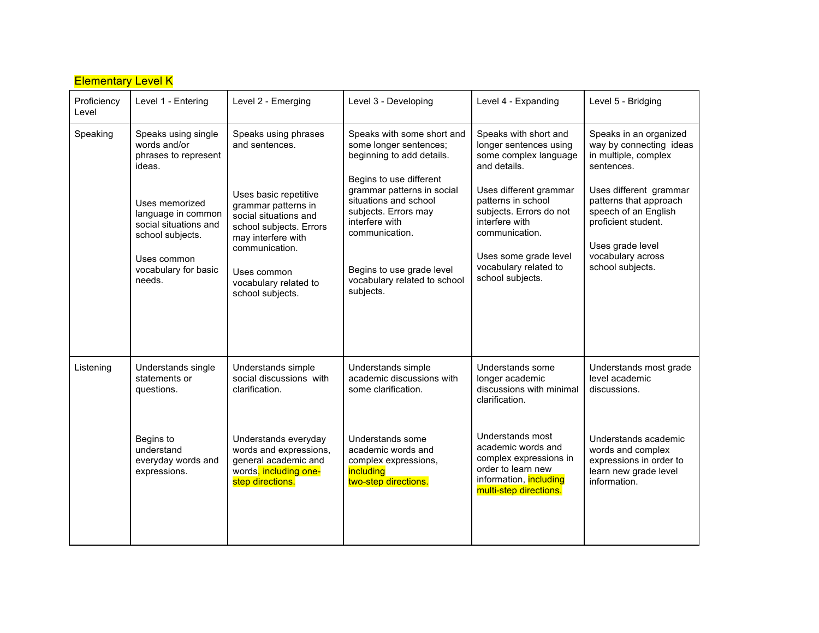| <b>Elementary Level K</b> |                                                                                                                                                                                                             |                                                                                                                                                                                                                                                |                                                                                                                                                                                                                                                                                                           |                                                                                                                                                                                                                                                                               |                                                                                                                                                                                                                                                         |  |  |
|---------------------------|-------------------------------------------------------------------------------------------------------------------------------------------------------------------------------------------------------------|------------------------------------------------------------------------------------------------------------------------------------------------------------------------------------------------------------------------------------------------|-----------------------------------------------------------------------------------------------------------------------------------------------------------------------------------------------------------------------------------------------------------------------------------------------------------|-------------------------------------------------------------------------------------------------------------------------------------------------------------------------------------------------------------------------------------------------------------------------------|---------------------------------------------------------------------------------------------------------------------------------------------------------------------------------------------------------------------------------------------------------|--|--|
| Proficiency<br>Level      | Level 1 - Entering                                                                                                                                                                                          | Level 2 - Emerging                                                                                                                                                                                                                             | Level 3 - Developing                                                                                                                                                                                                                                                                                      | Level 4 - Expanding                                                                                                                                                                                                                                                           | Level 5 - Bridging                                                                                                                                                                                                                                      |  |  |
| Speaking                  | Speaks using single<br>words and/or<br>phrases to represent<br>ideas.<br>Uses memorized<br>language in common<br>social situations and<br>school subjects.<br>Uses common<br>vocabulary for basic<br>needs. | Speaks using phrases<br>and sentences.<br>Uses basic repetitive<br>grammar patterns in<br>social situations and<br>school subjects. Errors<br>may interfere with<br>communication.<br>Uses common<br>vocabulary related to<br>school subjects. | Speaks with some short and<br>some longer sentences;<br>beginning to add details.<br>Begins to use different<br>grammar patterns in social<br>situations and school<br>subjects. Errors may<br>interfere with<br>communication.<br>Begins to use grade level<br>vocabulary related to school<br>subjects. | Speaks with short and<br>longer sentences using<br>some complex language<br>and details.<br>Uses different grammar<br>patterns in school<br>subjects. Errors do not<br>interfere with<br>communication.<br>Uses some grade level<br>vocabulary related to<br>school subjects. | Speaks in an organized<br>way by connecting ideas<br>in multiple, complex<br>sentences.<br>Uses different grammar<br>patterns that approach<br>speech of an English<br>proficient student.<br>Uses grade level<br>vocabulary across<br>school subjects. |  |  |
| Listening                 | Understands single<br>statements or<br>questions.<br>Begins to<br>understand<br>everyday words and<br>expressions.                                                                                          | Understands simple<br>social discussions with<br>clarification.<br>Understands everyday<br>words and expressions,<br>general academic and<br>words, including one-<br>step directions.                                                         | Understands simple<br>academic discussions with<br>some clarification.<br>Understands some<br>academic words and<br>complex expressions,<br>including<br>two-step directions.                                                                                                                             | Understands some<br>longer academic<br>discussions with minimal<br>clarification.<br>Understands most<br>academic words and<br>complex expressions in<br>order to learn new<br>information, including<br>multi-step directions.                                               | Understands most grade<br>level academic<br>discussions.<br>Understands academic<br>words and complex<br>expressions in order to<br>learn new grade level<br>information.                                                                               |  |  |